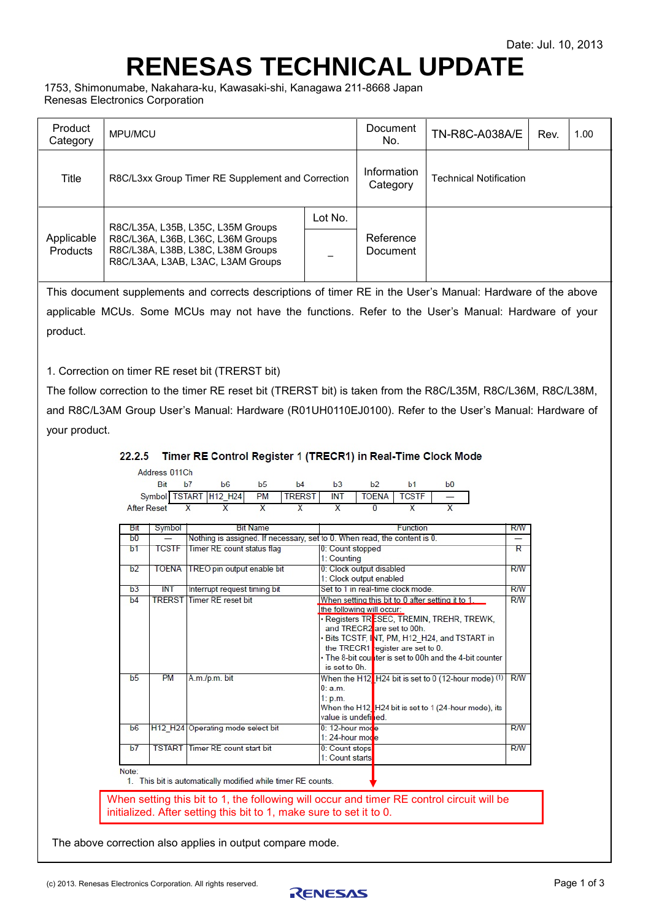# <span id="page-0-1"></span><span id="page-0-0"></span>**RENESAS TECHNICAL UPDATE**

1753, Shimonumabe, Nakahara-ku, Kawasaki-shi, Kanagawa 211-8668 Japan Renesas Electronics Corporation

| Product<br>Category    | MPU/MCU                                                                                                                                          |         | Document<br>No.         | <b>TN-R8C-A038A/E</b>         | 1.00 |  |  |
|------------------------|--------------------------------------------------------------------------------------------------------------------------------------------------|---------|-------------------------|-------------------------------|------|--|--|
| Title                  | R8C/L3xx Group Timer RE Supplement and Correction                                                                                                |         | Information<br>Category | <b>Technical Notification</b> |      |  |  |
| Applicable<br>Products | R8C/L35A, L35B, L35C, L35M Groups<br>R8C/L36A, L36B, L36C, L36M Groups<br>R8C/L38A, L38B, L38C, L38M Groups<br>R8C/L3AA, L3AB, L3AC, L3AM Groups | Lot No. | Reference<br>Document   |                               |      |  |  |

This document supplements and corrects descriptions of timer RE in the User's Manual: Hardware of the above applicable MCUs. Some MCUs may not have the functions. Refer to the User's Manual: Hardware of your product.

1. Correction on timer RE reset bit (TRERST bit)

The follow correction to the timer RE reset bit (TRERST bit) is taken from the R8C/L35M, R8C/L36M, R8C/L38M, and R8C/L3AM Group User's Manual: Hardware (R01UH0110EJ0100). Refer to the User's Manual: Hardware of your product.

## 22.2.5 Timer RE Control Register 1 (TRECR1) in Real-Time Clock Mode

|                | Symbol TSTART<br>After Reset | X                                                                         | H12 H24<br>$\overline{\mathsf{x}}$                           | <b>PM</b><br>X  | <b>TRERST</b><br>$\overline{\mathsf{x}}$ | <b>INT</b><br>$\overline{\mathsf{x}}$               | <b>TOENA</b><br>$\Omega$                                                                     | <b>TCSTF</b><br>$\overline{\mathsf{x}}$ | $\overline{\mathsf{x}}$                                                                                                                                                                                    |            |
|----------------|------------------------------|---------------------------------------------------------------------------|--------------------------------------------------------------|-----------------|------------------------------------------|-----------------------------------------------------|----------------------------------------------------------------------------------------------|-----------------------------------------|------------------------------------------------------------------------------------------------------------------------------------------------------------------------------------------------------------|------------|
|                |                              |                                                                           |                                                              |                 |                                          |                                                     |                                                                                              |                                         |                                                                                                                                                                                                            |            |
| Bit            | Symbol                       |                                                                           |                                                              | <b>Bit Name</b> |                                          |                                                     |                                                                                              | Function                                |                                                                                                                                                                                                            | <b>RW</b>  |
| b0             |                              | Nothing is assigned. If necessary, set to 0. When read, the content is 0. |                                                              |                 |                                          |                                                     |                                                                                              |                                         |                                                                                                                                                                                                            |            |
| b <sub>1</sub> | <b>TCSTF</b>                 | Timer RE count status flag                                                |                                                              |                 |                                          | 0: Count stopped<br>1: Counting                     |                                                                                              |                                         |                                                                                                                                                                                                            |            |
| b <sub>2</sub> | <b>TOENA</b>                 | TREO pin output enable bit                                                |                                                              |                 |                                          | 0: Clock output disabled<br>1: Clock output enabled |                                                                                              |                                         |                                                                                                                                                                                                            |            |
| h <sub>3</sub> | <b>INT</b>                   | Set to 1 in real-time clock mode<br>Interrupt request timing bit          |                                                              |                 |                                          |                                                     |                                                                                              |                                         | $R$ $W$                                                                                                                                                                                                    |            |
| b4             |                              |                                                                           | <b>TRERST Timer RE reset bit</b>                             |                 |                                          | is set to 0h.                                       | the following will occur:<br>and TRECR2 are set to 00h.<br>the TRECR1 register are set to 0. |                                         | When setting this bit to 0 after setting it to 1.<br>· Registers TRESEC, TREMIN, TREHR, TREWK,<br>. Bits TCSTF, INT, PM, H12 H24, and TSTART in<br>• The 8-bit counter is set to 00h and the 4-bit counter | R/W        |
| b <sub>5</sub> | <b>PM</b>                    |                                                                           | A.m./p.m. bit                                                |                 |                                          | 0: a.m.<br>1: p.m.                                  | value is undefined.                                                                          |                                         | When the H12 $\sqrt{ }$ H24 bit is set to 0 (12-hour mode) (1) R/W<br>When the H12 H24 bit is set to 1 (24-hour mode), its                                                                                 |            |
| b6             |                              | H12 H24 Operating mode select bit                                         |                                                              |                 |                                          | 0: 12-hour mode<br>$1:24$ -hour mode                |                                                                                              |                                         |                                                                                                                                                                                                            |            |
| b7             |                              |                                                                           | <b>TSTART</b> Timer RE count start bit                       |                 |                                          | 0: Count stops<br>1: Count starts                   |                                                                                              |                                         |                                                                                                                                                                                                            | <b>R/W</b> |
| Note:          |                              |                                                                           | 1. This bit is automatically modified while timer RE counts. |                 |                                          |                                                     |                                                                                              |                                         |                                                                                                                                                                                                            |            |

The above correction also applies in output compare mode.

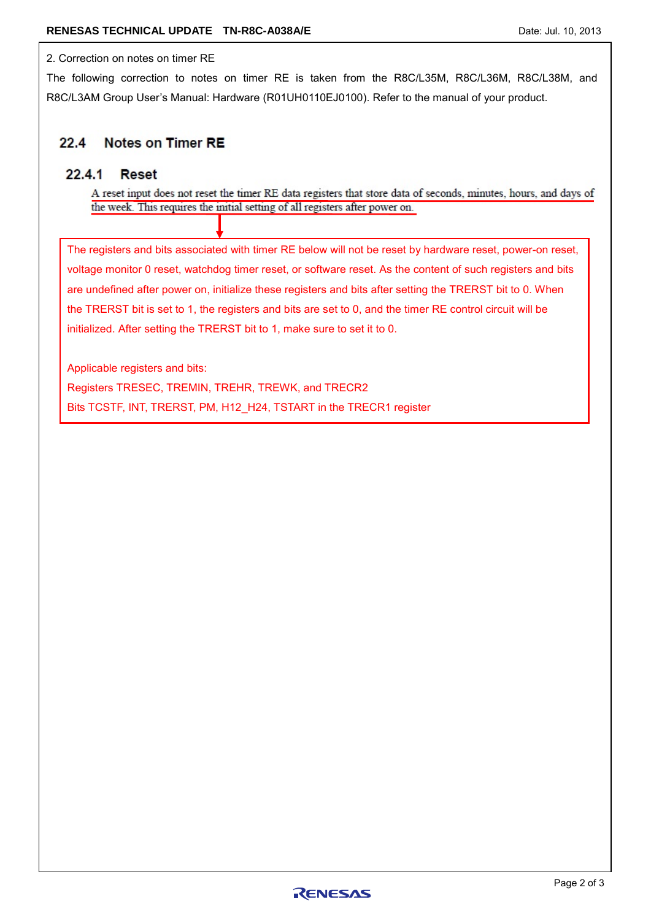## 2. Correction on notes on timer RE

The following correction to notes on timer RE is taken from the R8C/L35M, R8C/L36M, R8C/L38M, and R8C/L3AM Group User's Manual: Hardware (R01UH0110EJ0100). Refer to the manual of your product.

### **Notes on Timer RE**  $22.4$

#### $22.4.1$ **Reset**

A reset input does not reset the timer RE data registers that store data of seconds, minutes, hours, and days of the week. This requires the initial setting of all registers after power on.

The registers and bits associated with timer RE below will not be reset by hardware reset, power-on reset, voltage monitor 0 reset, watchdog timer reset, or software reset. As the content of such registers and bits are undefined after power on, initialize these registers and bits after setting the TRERST bit to 0. When the TRERST bit is set to 1, the registers and bits are set to 0, and the timer RE control circuit will be initialized. After setting the TRERST bit to 1, make sure to set it to 0.

Applicable registers and bits:

Registers TRESEC, TREMIN, TREHR, TREWK, and TRECR2 Bits TCSTF, INT, TRERST, PM, H12\_H24, TSTART in the TRECR1 register